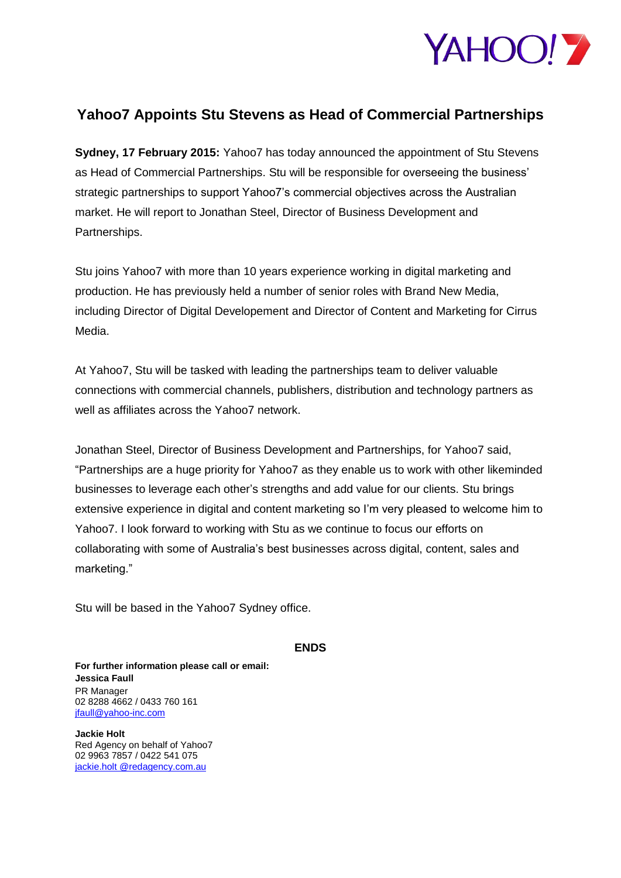

## **Yahoo7 Appoints Stu Stevens as Head of Commercial Partnerships**

**Sydney, 17 February 2015:** Yahoo7 has today announced the appointment of Stu Stevens as Head of Commercial Partnerships. Stu will be responsible for overseeing the business' strategic partnerships to support Yahoo7's commercial objectives across the Australian market. He will report to Jonathan Steel, Director of Business Development and Partnerships.

Stu joins Yahoo7 with more than 10 years experience working in digital marketing and production. He has previously held a number of senior roles with Brand New Media, including Director of Digital Developement and Director of Content and Marketing for Cirrus Media.

At Yahoo7, Stu will be tasked with leading the partnerships team to deliver valuable connections with commercial channels, publishers, distribution and technology partners as well as affiliates across the Yahoo7 network.

Jonathan Steel, Director of Business Development and Partnerships, for Yahoo7 said, "Partnerships are a huge priority for Yahoo7 as they enable us to work with other likeminded businesses to leverage each other's strengths and add value for our clients. Stu brings extensive experience in digital and content marketing so I'm very pleased to welcome him to Yahoo7. I look forward to working with Stu as we continue to focus our efforts on collaborating with some of Australia's best businesses across digital, content, sales and marketing."

Stu will be based in the Yahoo7 Sydney office.

**ENDS** 

**For further information please call or email: Jessica Faull** PR Manager 02 8288 4662 / 0433 760 161 [jfaull@yahoo-inc.com](mailto:jfaull@yahoo-inc.com)

**Jackie Holt** Red Agency on behalf of Yahoo7 02 9963 7857 / 0422 541 075 [jackie.holt @redagency.com.au](mailto:natasha.carroll@redagency.com.au)